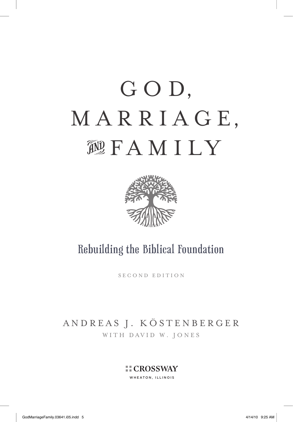# **秘FAMILY**  G O D, M A R R I A G E,



### Rebuilding the Biblical Foundation

SECOND EDITION

### ANDREAS J. KÖSTENBERGER

WITH DAVID W. JONES

**ECROSSWAY** WHEATON, ILLINOIS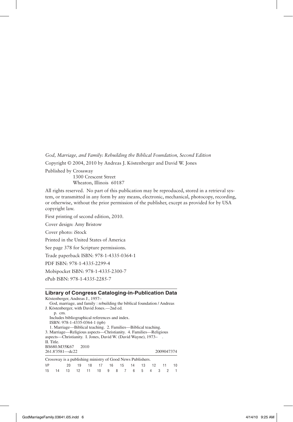*God, Marriage, and Family: Rebuilding the Biblical Foundation, Second Edition* Copyright © 2004, 2010 by Andreas J. Köstenberger and David W. Jones

Published by Crossway 1300 Crescent Street

Wheaton, Illinois 60187

All rights reserved. No part of this publication may be reproduced, stored in a retrieval system, or transmitted in any form by any means, electronic, mechanical, photocopy, recording, or otherwise, without the prior permission of the publisher, except as provided for by USA copyright law.

First printing of second edition, 2010.

Cover design: Amy Bristow

Cover photo: iStock

Printed in the United States of America

See page 378 for Scripture permissions.

Trade paperback ISBN: 978-1-4335-0364-1

PDF ISBN: 978-1-4335-2299-4

Mobipocket ISBN: 978-1-4335-2300-7

ePub ISBN: 978-1-4335-2285-7

#### **Library of Congress Cataloging-in-Publication Data**

Köstenberger, Andreas J., 1957– God, marriage, and family : rebuilding the biblical foundation / Andreas J. Köstenberger, with David Jones.—2nd ed. p. cm. Includes bibliographical references and index. ISBN: 978-1-4335-0364-1 (tpb) 1. Marriage—Biblical teaching. 2. Families—Biblical teaching. 3. Marriage—Religious aspects—Christianity. 4. Families—Religious aspects-Christianity. I. Jones, David W. (David Wayne), 1973-II. Title. BS680.M35K67 2010 261.8'3581—dc22 2009047374 Crossway is a publishing ministry of Good News Publishers. VP 20 19 18 17 16 15 14 13 12 11 10 15 14 13 12 11 10 9 8 7 6 5 4 3 2 1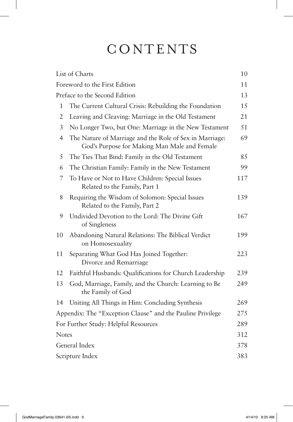### **CONTENTS**

| List of Charts                                             |                                                                                                         |     |
|------------------------------------------------------------|---------------------------------------------------------------------------------------------------------|-----|
| Foreword to the First Edition                              |                                                                                                         |     |
| Preface to the Second Edition                              |                                                                                                         |     |
| 1                                                          | The Current Cultural Crisis: Rebuilding the Foundation                                                  | 15  |
| 2                                                          | Leaving and Cleaving: Marriage in the Old Testament                                                     | 21  |
| 3                                                          | No Longer Two, but One: Marriage in the New Testament                                                   | 51  |
| $\overline{4}$                                             | The Nature of Marriage and the Role of Sex in Marriage:<br>God's Purpose for Making Man Male and Female | 69  |
| 5                                                          | The Ties That Bind: Family in the Old Testament                                                         | 85  |
| 6                                                          | The Christian Family: Family in the New Testament                                                       | 99  |
| 7                                                          | To Have or Not to Have Children: Special Issues<br>Related to the Family, Part 1                        |     |
| 8                                                          | Requiring the Wisdom of Solomon: Special Issues<br>Related to the Family, Part 2                        | 139 |
| 9                                                          | Undivided Devotion to the Lord: The Divine Gift<br>of Singleness                                        | 167 |
| 10                                                         | Abandoning Natural Relations: The Biblical Verdict<br>on Homosexuality                                  | 199 |
| 11                                                         | Separating What God Has Joined Together:<br>Divorce and Remarriage                                      | 223 |
| 12                                                         | Faithful Husbands: Qualifications for Church Leadership                                                 | 239 |
| 13                                                         | God, Marriage, Family, and the Church: Learning to Be<br>the Family of God                              | 249 |
| 14                                                         | Uniting All Things in Him: Concluding Synthesis                                                         | 269 |
| Appendix: The "Exception Clause" and the Pauline Privilege |                                                                                                         | 275 |
| For Further Study: Helpful Resources                       |                                                                                                         |     |
| <b>Notes</b>                                               |                                                                                                         |     |
| General Index                                              |                                                                                                         |     |
| Scripture Index                                            |                                                                                                         |     |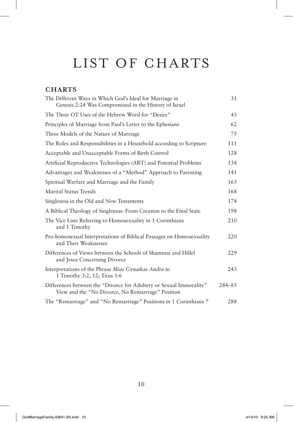### LIST OF CHARTS

#### **CHARTS**

| The Different Ways in Which God's Ideal for Marriage in<br>Genesis 2:24 Was Compromised in the History of Israel         | 31         |
|--------------------------------------------------------------------------------------------------------------------------|------------|
| The Three OT Uses of the Hebrew Word for "Desire"                                                                        | 43         |
| Principles of Marriage from Paul's Letter to the Ephesians                                                               | 62         |
| Three Models of the Nature of Marriage                                                                                   | 75         |
| The Roles and Responsibilities in a Household according to Scripture                                                     | 111        |
| Acceptable and Unacceptable Forms of Birth Control                                                                       | 128        |
| Artificial Reproductive Technologies (ART) and Potential Problems                                                        | 134        |
| Advantages and Weaknesses of a "Method" Approach to Parenting                                                            | 141        |
| Spiritual Warfare and Marriage and the Family                                                                            | 163        |
| Marital Status Trends                                                                                                    | 168        |
| Singleness in the Old and New Testaments                                                                                 | 174        |
| A Biblical Theology of Singleness: From Creation to the Final State                                                      | 198        |
| The Vice Lists Referring to Homosexuality in 1 Corinthians<br>and 1 Timothy                                              | 210        |
| Pro-homosexual Interpretations of Biblical Passages on Homosexuality<br>and Their Weaknesses                             | 220        |
| Differences of Views between the Schools of Shammai and Hillel<br>and Jesus Concerning Divorce                           | 229        |
| Interpretations of the Phrase Mias Gynaikas Andra in<br>1 Timothy 3:2, 12; Titus 1:6                                     | 243        |
| Differences between the "Divorce for Adultery or Sexual Immorality"<br>View and the "No Divorce, No Remarriage" Position | $284 - 85$ |
| The "Remarriage" and "No Remarriage" Positions in 1 Corinthians 7                                                        | 288        |

 $\overline{\phantom{a}}$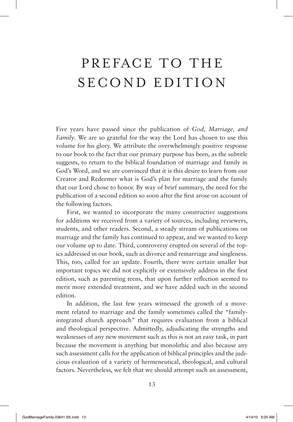## PREFACE TO THE SECOND EDITION

Five years have passed since the publication of *God, Marriage, and Family*. We are so grateful for the way the Lord has chosen to use this volume for his glory. We attribute the overwhelmingly positive response to our book to the fact that our primary purpose has been, as the subtitle suggests, to return to the biblical foundation of marriage and family in God's Word, and we are convinced that it is this desire to learn from our Creator and Redeemer what is God's plan for marriage and the family that our Lord chose to honor. By way of brief summary, the need for the publication of a second edition so soon after the first arose on account of the following factors.

First, we wanted to incorporate the many constructive suggestions for additions we received from a variety of sources, including reviewers, students, and other readers. Second, a steady stream of publications on marriage and the family has continued to appear, and we wanted to keep our volume up to date. Third, controversy erupted on several of the topics addressed in our book, such as divorce and remarriage and singleness. This, too, called for an update. Fourth, there were certain smaller but important topics we did not explicitly or extensively address in the first edition, such as parenting teens, that upon further reflection seemed to merit more extended treatment, and we have added such in the second edition.

In addition, the last few years witnessed the growth of a movement related to marriage and the family sometimes called the "familyintegrated church approach" that requires evaluation from a biblical and theological perspective. Admittedly, adjudicating the strengths and weaknesses of any new movement such as this is not an easy task, in part because the movement is anything but monolithic and also because any such assessment calls for the application of biblical principles and the judicious evaluation of a variety of hermeneutical, theological, and cultural factors. Nevertheless, we felt that we should attempt such an assessment,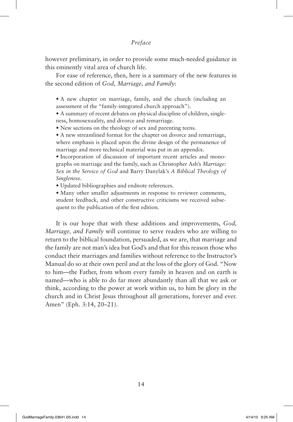#### *Preface*

however preliminary, in order to provide some much-needed guidance in this eminently vital area of church life.

For ease of reference, then, here is a summary of the new features in the second edition of *God, Marriage, and Family*:

• A new chapter on marriage, family, and the church (including an assessment of the "family-integrated church approach").

• A summary of recent debates on physical discipline of children, singleness, homosexuality, and divorce and remarriage.

• New sections on the theology of sex and parenting teens.

• A new streamlined format for the chapter on divorce and remarriage, where emphasis is placed upon the divine design of the permanence of marriage and more technical material was put in an appendix.

• Incorporation of discussion of important recent articles and monographs on marriage and the family, such as Christopher Ash's *Marriage: Sex in the Service of God* and Barry Danylak's *A Biblical Theology of Singleness*.

• Updated bibliographies and endnote references.

• Many other smaller adjustments in response to reviewer comments, student feedback, and other constructive criticisms we received subsequent to the publication of the first edition.

It is our hope that with these additions and improvements, *God, Marriage, and Family* will continue to serve readers who are willing to return to the biblical foundation, persuaded, as we are, that marriage and the family are not man's idea but God's and that for this reason those who conduct their marriages and families without reference to the Instructor's Manual do so at their own peril and at the loss of the glory of God. "Now to him—the Father, from whom every family in heaven and on earth is named—who is able to do far more abundantly than all that we ask or think, according to the power at work within us, to him be glory in the church and in Christ Jesus throughout all generations, forever and ever. Amen" (Eph. 3:14, 20–21).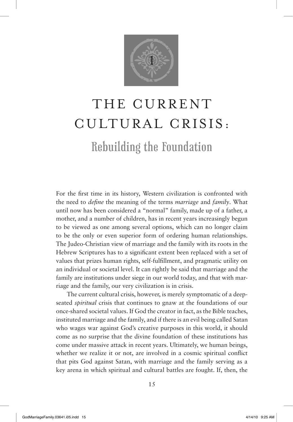

# THE CURRENT CULTURAL CRISIS: Rebuilding the Foundation

For the first time in its history, Western civilization is confronted with the need to *define* the meaning of the terms *marriage* and *family*. What until now has been considered a "normal" family, made up of a father, a mother, and a number of children, has in recent years increasingly begun to be viewed as one among several options, which can no longer claim to be the only or even superior form of ordering human relationships. The Judeo-Christian view of marriage and the family with its roots in the Hebrew Scriptures has to a significant extent been replaced with a set of values that prizes human rights, self-fulfillment, and pragmatic utility on an individual or societal level. It can rightly be said that marriage and the family are institutions under siege in our world today, and that with marriage and the family, our very civilization is in crisis.

The current cultural crisis, however, is merely symptomatic of a deepseated *spiritual* crisis that continues to gnaw at the foundations of our once-shared societal values. If God the creator in fact, as the Bible teaches, instituted marriage and the family, and if there is an evil being called Satan who wages war against God's creative purposes in this world, it should come as no surprise that the divine foundation of these institutions has come under massive attack in recent years. Ultimately, we human beings, whether we realize it or not, are involved in a cosmic spiritual conflict that pits God against Satan, with marriage and the family serving as a key arena in which spiritual and cultural battles are fought. If, then, the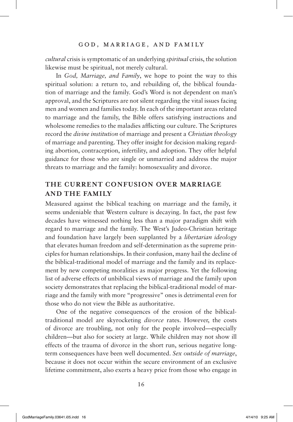*cultural* crisis is symptomatic of an underlying *spiritual* crisis, the solution likewise must be spiritual, not merely cultural.

In *God, Marriage, and Family*, we hope to point the way to this spiritual solution: a return to, and rebuilding of, the biblical foundation of marriage and the family. God's Word is not dependent on man's approval, and the Scriptures are not silent regarding the vital issues facing men and women and families today. In each of the important areas related to marriage and the family, the Bible offers satisfying instructions and wholesome remedies to the maladies afflicting our culture. The Scriptures record the *divine institution* of marriage and present a *Christian theology* of marriage and parenting. They offer insight for decision making regarding abortion, contraception, infertility, and adoption. They offer helpful guidance for those who are single or unmarried and address the major threats to marriage and the family: homosexuality and divorce.

#### **THE CURRENT CONFUSION OVER MARRIAGE AND THE FAMILY**

Measured against the biblical teaching on marriage and the family, it seems undeniable that Western culture is decaying. In fact, the past few decades have witnessed nothing less than a major paradigm shift with regard to marriage and the family. The West's Judeo-Christian heritage and foundation have largely been supplanted by a *libertarian ideology* that elevates human freedom and self-determination as the supreme principles for human relationships. In their confusion, many hail the decline of the biblical-traditional model of marriage and the family and its replacement by new competing moralities as major progress. Yet the following list of adverse effects of unbiblical views of marriage and the family upon society demonstrates that replacing the biblical-traditional model of marriage and the family with more "progressive" ones is detrimental even for those who do not view the Bible as authoritative.

One of the negative consequences of the erosion of the biblicaltraditional model are skyrocketing *divorce* rates. However, the costs of divorce are troubling, not only for the people involved—especially children—but also for society at large. While children may not show ill effects of the trauma of divorce in the short run, serious negative longterm consequences have been well documented. *Sex outside of marriage*, because it does not occur within the secure environment of an exclusive lifetime commitment, also exerts a heavy price from those who engage in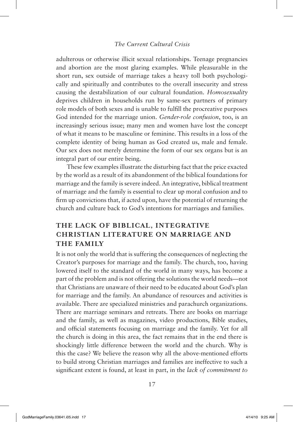#### *The Current Cultural Crisis*

adulterous or otherwise illicit sexual relationships. Teenage pregnancies and abortion are the most glaring examples. While pleasurable in the short run, sex outside of marriage takes a heavy toll both psychologically and spiritually and contributes to the overall insecurity and stress causing the destabilization of our cultural foundation. *Homosexuality* deprives children in households run by same-sex partners of primary role models of both sexes and is unable to fulfill the procreative purposes God intended for the marriage union. *Gender-role confusion*, too, is an increasingly serious issue; many men and women have lost the concept of what it means to be masculine or feminine. This results in a loss of the complete identity of being human as God created us, male and female. Our sex does not merely determine the form of our sex organs but is an integral part of our entire being.

These few examples illustrate the disturbing fact that the price exacted by the world as a result of its abandonment of the biblical foundations for marriage and the family is severe indeed. An integrative, biblical treatment of marriage and the family is essential to clear up moral confusion and to firm up convictions that, if acted upon, have the potential of returning the church and culture back to God's intentions for marriages and families.

#### **THE LACK OF BIBLICAL, INTEGRATIVE CHRISTIAN LITERATURE ON MARRIAGE AND THE FAMILY**

It is not only the world that is suffering the consequences of neglecting the Creator's purposes for marriage and the family. The church, too, having lowered itself to the standard of the world in many ways, has become a part of the problem and is not offering the solutions the world needs—not that Christians are unaware of their need to be educated about God's plan for marriage and the family. An abundance of resources and activities is available. There are specialized ministries and parachurch organizations. There are marriage seminars and retreats. There are books on marriage and the family, as well as magazines, video productions, Bible studies, and official statements focusing on marriage and the family. Yet for all the church is doing in this area, the fact remains that in the end there is shockingly little difference between the world and the church. Why is this the case? We believe the reason why all the above-mentioned efforts to build strong Christian marriages and families are ineffective to such a significant extent is found, at least in part, in the *lack of commitment to*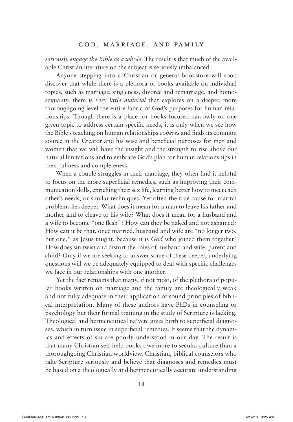*seriously engage the Bible as a whole*. The result is that much of the available Christian literature on the subject is seriously imbalanced.

Anyone stepping into a Christian or general bookstore will soon discover that while there is a plethora of books available on individual topics, such as marriage, singleness, divorce and remarriage, and homosexuality, there is *very little material* that explores on a deeper, more thoroughgoing level the entire fabric of God's purposes for human relationships. Though there is a place for books focused narrowly on one given topic to address certain specific needs, it is only when we see how the Bible's teaching on human relationships *coheres* and finds its common source in the Creator and his wise and beneficial purposes for men and women that we will have the insight and the strength to rise above our natural limitations and to embrace God's plan for human relationships in their fullness and completeness.

When a couple struggles in their marriage, they often find it helpful to focus on the more superficial remedies, such as improving their communication skills, enriching their sex life, learning better how to meet each other's needs, or similar techniques. Yet often the true cause for marital problems lies deeper. What does it mean for a man to leave his father and mother and to cleave to his wife? What does it mean for a husband and a wife to become "one flesh"? How can they be naked and not ashamed? How can it be that, once married, husband and wife are "no longer two, but one," as Jesus taught, because it is *God* who joined them together? How does sin twist and distort the roles of husband and wife, parent and child? Only if we are seeking to answer some of these deeper, underlying questions will we be adequately equipped to deal with specific challenges we face in our relationships with one another.

Yet the fact remains that many, if not most, of the plethora of popular books written on marriage and the family are theologically weak and not fully adequate in their application of sound principles of biblical interpretation. Many of these authors have PhDs in counseling or psychology but their formal training in the study of Scripture is lacking. Theological and hermeneutical naïveté gives birth to superficial diagnoses, which in turn issue in superficial remedies. It seems that the dynamics and effects of sin are poorly understood in our day. The result is that many Christian self-help books owe more to secular culture than a thoroughgoing Christian worldview. Christian, biblical counselors who take Scripture seriously and believe that diagnoses and remedies must be based on a theologically and hermeneutically accurate understanding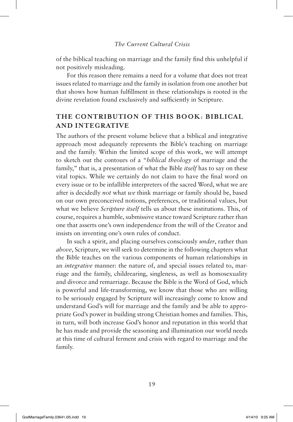#### *The Current Cultural Crisis*

of the biblical teaching on marriage and the family find this unhelpful if not positively misleading.

For this reason there remains a need for a volume that does not treat issues related to marriage and the family in isolation from one another but that shows how human fulfillment in these relationships is rooted in the divine revelation found exclusively and sufficiently in Scripture.

#### **THE CONTRIBUTION OF THIS BOOK: BIBLICAL AND INTEGRATIVE**

The authors of the present volume believe that a biblical and integrative approach most adequately represents the Bible's teaching on marriage and the family. Within the limited scope of this work, we will attempt to sketch out the contours of a "*biblical theology* of marriage and the family," that is, a presentation of what the Bible *itself* has to say on these vital topics. While we certainly do not claim to have the final word on every issue or to be infallible interpreters of the sacred Word, what we are after is decidedly *not* what *we* think marriage or family should be, based on our own preconceived notions, preferences, or traditional values, but what we believe *Scripture itself* tells us about these institutions. This, of course, requires a humble, submissive stance toward Scripture rather than one that asserts one's own independence from the will of the Creator and insists on inventing one's own rules of conduct.

In such a spirit, and placing ourselves consciously *under*, rather than *above*, Scripture, we will seek to determine in the following chapters what the Bible teaches on the various components of human relationships in an *integrative* manner: the nature of, and special issues related to, marriage and the family, childrearing, singleness, as well as homosexuality and divorce and remarriage. Because the Bible is the Word of God, which is powerful and life-transforming, we know that those who are willing to be seriously engaged by Scripture will increasingly come to know and understand God's will for marriage and the family and be able to appropriate God's power in building strong Christian homes and families. This, in turn, will both increase God's honor and reputation in this world that he has made and provide the seasoning and illumination our world needs at this time of cultural ferment and crisis with regard to marriage and the family.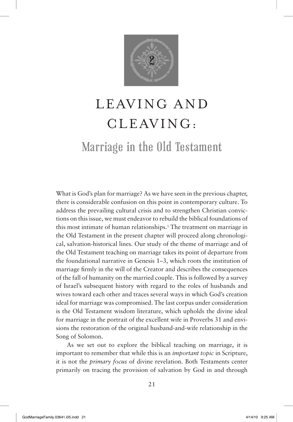

# LEAVING AND CLEAVING:

### Marriage in the Old Testament

What is God's plan for marriage? As we have seen in the previous chapter, there is considerable confusion on this point in contemporary culture. To address the prevailing cultural crisis and to strengthen Christian convictions on this issue, we must endeavor to rebuild the biblical foundations of this most intimate of human relationships.1 The treatment on marriage in the Old Testament in the present chapter will proceed along chronological, salvation-historical lines. Our study of the theme of marriage and of the Old Testament teaching on marriage takes its point of departure from the foundational narrative in Genesis 1–3, which roots the institution of marriage firmly in the will of the Creator and describes the consequences of the fall of humanity on the married couple. This is followed by a survey of Israel's subsequent history with regard to the roles of husbands and wives toward each other and traces several ways in which God's creation ideal for marriage was compromised. The last corpus under consideration is the Old Testament wisdom literature, which upholds the divine ideal for marriage in the portrait of the excellent wife in Proverbs 31 and envisions the restoration of the original husband-and-wife relationship in the Song of Solomon.

As we set out to explore the biblical teaching on marriage, it is important to remember that while this is an *important topic* in Scripture, it is not the *primary focus* of divine revelation. Both Testaments center primarily on tracing the provision of salvation by God in and through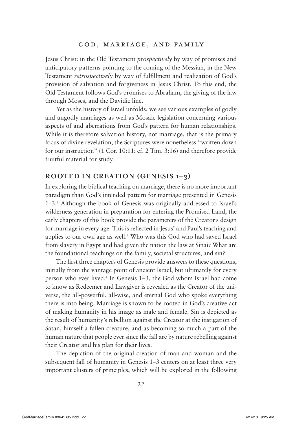Jesus Christ: in the Old Testament *prospectively* by way of promises and anticipatory patterns pointing to the coming of the Messiah, in the New Testament *retrospectively* by way of fulfillment and realization of God's provision of salvation and forgiveness in Jesus Christ. To this end, the Old Testament follows God's promises to Abraham, the giving of the law through Moses, and the Davidic line.

Yet as the history of Israel unfolds, we see various examples of godly and ungodly marriages as well as Mosaic legislation concerning various aspects of and aberrations from God's pattern for human relationships. While it is therefore salvation history, not marriage, that is the primary focus of divine revelation, the Scriptures were nonetheless "written down for our instruction" (1 Cor. 10:11; cf. 2 Tim. 3:16) and therefore provide fruitful material for study.

#### **ROOTED IN CREATION (GENESIS 1–3)**

In exploring the biblical teaching on marriage, there is no more important paradigm than God's intended pattern for marriage presented in Genesis 1–3.2 Although the book of Genesis was originally addressed to Israel's wilderness generation in preparation for entering the Promised Land, the early chapters of this book provide the parameters of the Creator's design for marriage in every age. This is reflected in Jesus' and Paul's teaching and applies to our own age as well.<sup>3</sup> Who was this God who had saved Israel from slavery in Egypt and had given the nation the law at Sinai? What are the foundational teachings on the family, societal structures, and sin?

The first three chapters of Genesis provide answers to these questions, initially from the vantage point of ancient Israel, but ultimately for every person who ever lived.4 In Genesis 1–3, the God whom Israel had come to know as Redeemer and Lawgiver is revealed as the Creator of the universe, the all-powerful, all-wise, and eternal God who spoke everything there is into being. Marriage is shown to be rooted in God's creative act of making humanity in his image as male and female. Sin is depicted as the result of humanity's rebellion against the Creator at the instigation of Satan, himself a fallen creature, and as becoming so much a part of the human nature that people ever since the fall are by nature rebelling against their Creator and his plan for their lives.

The depiction of the original creation of man and woman and the subsequent fall of humanity in Genesis 1–3 centers on at least three very important clusters of principles, which will be explored in the following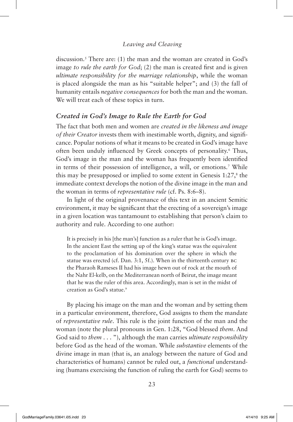discussion.<sup>5</sup> There are: (1) the man and the woman are created in God's image *to rule the earth for God*; (2) the man is created first and is given *ultimate responsibility for the marriage relationship*, while the woman is placed alongside the man as his "suitable helper"; and (3) the fall of humanity entails *negative consequences* for both the man and the woman. We will treat each of these topics in turn.

#### *Created in God's Image to Rule the Earth for God*

The fact that both men and women are *created in the likeness and image of their Creator* invests them with inestimable worth, dignity, and significance. Popular notions of what it means to be created in God's image have often been unduly influenced by Greek concepts of personality.6 Thus, God's image in the man and the woman has frequently been identified in terms of their possession of intelligence, a will, or emotions.7 While this may be presupposed or implied to some extent in Genesis  $1:27$ ,<sup>8</sup> the immediate context develops the notion of the divine image in the man and the woman in terms of *representative rule* (cf. Ps. 8:6–8).

In light of the original provenance of this text in an ancient Semitic environment, it may be significant that the erecting of a sovereign's image in a given location was tantamount to establishing that person's claim to authority and rule. According to one author:

It is precisely in his [the man's] function as a ruler that he is God's image. In the ancient East the setting up of the king's statue was the equivalent to the proclamation of his domination over the sphere in which the statue was erected (cf. Dan. 3:1, 5f.). When in the thirteenth century bc the Pharaoh Rameses II had his image hewn out of rock at the mouth of the Nahr El-kelb, on the Mediterranean north of Beirut, the image meant that he was the ruler of this area. Accordingly, man is set in the midst of creation as God's statue.<sup>9</sup>

By placing his image on the man and the woman and by setting them in a particular environment, therefore, God assigns to them the mandate of *representative rule*. This rule is the joint function of the man and the woman (note the plural pronouns in Gen. 1:28, "God blessed *them*. And God said to *them* . . . "), although the man carries *ultimate responsibility* before God as the head of the woman. While *substantive* elements of the divine image in man (that is, an analogy between the nature of God and characteristics of humans) cannot be ruled out, a *functional* understanding (humans exercising the function of ruling the earth for God) seems to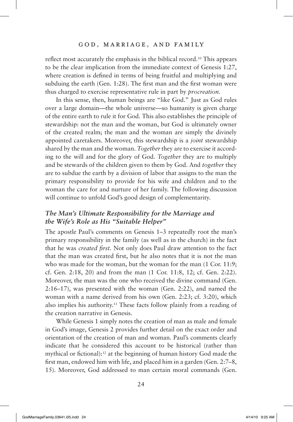reflect most accurately the emphasis in the biblical record.10 This appears to be the clear implication from the immediate context of Genesis 1:27, where creation is defined in terms of being fruitful and multiplying and subduing the earth (Gen. 1:28). The first man and the first woman were thus charged to exercise representative rule in part by *procreation*.

In this sense, then, human beings are "like God." Just as God rules over a large domain—the whole universe—so humanity is given charge of the entire earth to rule it for God. This also establishes the principle of stewardship: not the man and the woman, but God is ultimately owner of the created realm; the man and the woman are simply the divinely appointed caretakers. Moreover, this stewardship is a *joint* stewardship shared by the man and the woman. *Together* they are to exercise it according to the will and for the glory of God. *Together* they are to multiply and be stewards of the children given to them by God. And *together* they are to subdue the earth by a division of labor that assigns to the man the primary responsibility to provide for his wife and children and to the woman the care for and nurture of her family. The following discussion will continue to unfold God's good design of complementarity.

#### *The Man's Ultimate Responsibility for the Marriage and the Wife's Role as His "Suitable Helper"*

The apostle Paul's comments on Genesis 1–3 repeatedly root the man's primary responsibility in the family (as well as in the church) in the fact that he was *created first*. Not only does Paul draw attention to the fact that the man was created first, but he also notes that it is not the man who was made for the woman, but the woman for the man  $(1 \text{ Cor. } 11:9;$ cf. Gen. 2:18, 20) and from the man (1 Cor. 11:8, 12; cf. Gen. 2:22). Moreover, the man was the one who received the divine command (Gen. 2:16–17), was presented with the woman (Gen. 2:22), and named the woman with a name derived from his own (Gen. 2:23; cf. 3:20), which also implies his authority.11 These facts follow plainly from a reading of the creation narrative in Genesis.

While Genesis 1 simply notes the creation of man as male and female in God's image, Genesis 2 provides further detail on the exact order and orientation of the creation of man and woman. Paul's comments clearly indicate that he considered this account to be historical (rather than mythical or fictional):12 at the beginning of human history God made the first man, endowed him with life, and placed him in a garden (Gen. 2:7–8, 15). Moreover, God addressed to man certain moral commands (Gen.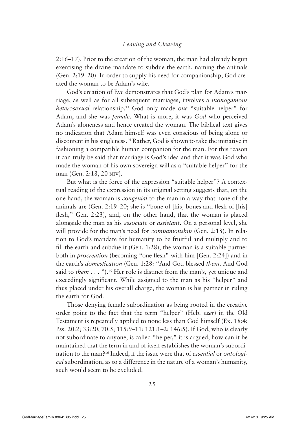2:16–17). Prior to the creation of the woman, the man had already begun exercising the divine mandate to subdue the earth, naming the animals (Gen. 2:19–20). In order to supply his need for companionship, God created the woman to be Adam's wife.

God's creation of Eve demonstrates that God's plan for Adam's marriage, as well as for all subsequent marriages, involves a *monogamous heterosexual* relationship.13 God only made *one* "suitable helper" for Adam, and she was *female*. What is more, it was *God* who perceived Adam's aloneness and hence created the woman. The biblical text gives no indication that Adam himself was even conscious of being alone or discontent in his singleness.14 Rather, God is shown to take the initiative in fashioning a compatible human companion for the man. For this reason it can truly be said that marriage is God's idea and that it was God who made the woman of his own sovereign will as a "suitable helper" for the man (Gen. 2:18, 20 niv).

But what is the force of the expression "suitable helper"? A contextual reading of the expression in its original setting suggests that, on the one hand, the woman is *congenial* to the man in a way that none of the animals are (Gen. 2:19–20; she is "bone of [his] bones and flesh of [his] flesh," Gen. 2:23), and, on the other hand, that the woman is placed alongside the man as his *associate* or *assistant*. On a personal level, she will provide for the man's need for *companionship* (Gen. 2:18). In relation to God's mandate for humanity to be fruitful and multiply and to fill the earth and subdue it (Gen. 1:28), the woman is a suitable partner both in *procreation* (becoming "one flesh" with him [Gen. 2:24]) and in the earth's *domestication* (Gen. 1:28: "And God blessed *them*. And God said to *them* . . . ").15 Her role is distinct from the man's, yet unique and exceedingly significant. While assigned to the man as his "helper" and thus placed under his overall charge, the woman is his partner in ruling the earth for God.

Those denying female subordination as being rooted in the creative order point to the fact that the term "helper" (Heb. *ezer*) in the Old Testament is repeatedly applied to none less than God himself (Ex. 18:4; Pss. 20:2; 33:20; 70:5; 115:9–11; 121:1–2; 146:5). If God, who is clearly not subordinate to anyone, is called "helper," it is argued, how can it be maintained that the term in and of itself establishes the woman's subordination to the man?16 Indeed, if the issue were that of *essential* or *ontological* subordination, as to a difference in the nature of a woman's humanity, such would seem to be excluded.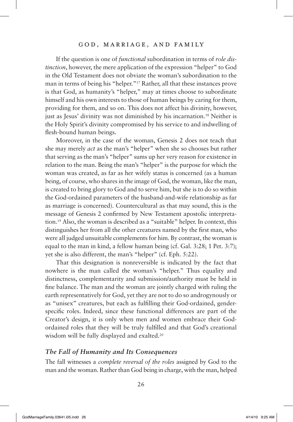If the question is one of *functional* subordination in terms of *role distinction*, however, the mere application of the expression "helper" to God in the Old Testament does not obviate the woman's subordination to the man in terms of being his "helper."17 Rather, all that these instances prove is that God, as humanity's "helper," may at times choose to subordinate himself and his own interests to those of human beings by caring for them, providing for them, and so on. This does not affect his divinity, however, just as Jesus' divinity was not diminished by his incarnation.18 Neither is the Holy Spirit's divinity compromised by his service to and indwelling of flesh-bound human beings.

Moreover, in the case of the woman, Genesis 2 does not teach that she may merely *act* as the man's "helper" when she so chooses but rather that serving as the man's "helper" sums up her very reason for existence in relation to the man. Being the man's "helper" is the purpose for which the woman was created, as far as her wifely status is concerned (as a human being, of course, who shares in the image of God, the woman, like the man, is created to bring glory to God and to serve him, but she is to do so within the God-ordained parameters of the husband-and-wife relationship as far as marriage is concerned). Countercultural as that may sound, this is the message of Genesis 2 confirmed by New Testament apostolic interpretation.19 Also, the woman is described as a "suitable" helper. In context, this distinguishes her from all the other creatures named by the first man, who were all judged unsuitable complements for him. By contrast, the woman is equal to the man in kind, a fellow human being (cf. Gal. 3:28; 1 Pet. 3:7); yet she is also different, the man's "helper" (cf. Eph. 5:22).

That this designation is nonreversible is indicated by the fact that nowhere is the man called the woman's "helper." Thus equality and distinctness, complementarity and submission/authority must be held in fine balance. The man and the woman are jointly charged with ruling the earth representatively for God, yet they are not to do so androgynously or as "unisex" creatures, but each as fulfilling their God-ordained, genderspecific roles. Indeed, since these functional differences are part of the Creator's design, it is only when men and women embrace their Godordained roles that they will be truly fulfilled and that God's creational wisdom will be fully displayed and exalted.<sup>20</sup>

#### *The Fall of Humanity and Its Consequences*

The fall witnesses a *complete reversal of the roles* assigned by God to the man and the woman. Rather than God being in charge, with the man, helped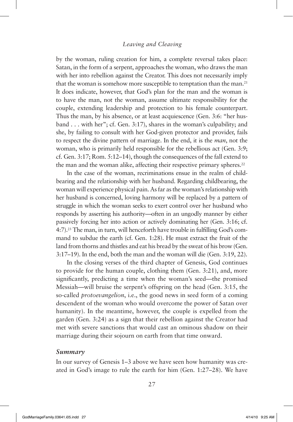by the woman, ruling creation for him, a complete reversal takes place: Satan, in the form of a serpent, approaches the woman, who draws the man with her into rebellion against the Creator. This does not necessarily imply that the woman is somehow more susceptible to temptation than the man.<sup>21</sup> It does indicate, however, that God's plan for the man and the woman is to have the man, not the woman, assume ultimate responsibility for the couple, extending leadership and protection to his female counterpart. Thus the man, by his absence, or at least acquiescence (Gen. 3:6: "her husband . . . with her"; cf. Gen. 3:17), shares in the woman's culpability; and she, by failing to consult with her God-given protector and provider, fails to respect the divine pattern of marriage. In the end, it is the *man*, not the woman, who is primarily held responsible for the rebellious act (Gen. 3:9; cf. Gen. 3:17; Rom. 5:12–14), though the consequences of the fall extend to the man and the woman alike, affecting their respective primary spheres.<sup>22</sup>

In the case of the woman, recriminations ensue in the realm of childbearing and the relationship with her husband. Regarding childbearing, the woman will experience physical pain. As far as the woman's relationship with her husband is concerned, loving harmony will be replaced by a pattern of struggle in which the woman seeks to exert control over her husband who responds by asserting his authority—often in an ungodly manner by either passively forcing her into action or actively dominating her (Gen. 3:16; cf. 4:7).23 The man, in turn, will henceforth have trouble in fulfilling God's command to subdue the earth (cf. Gen. 1:28). He must extract the fruit of the land from thorns and thistles and eat his bread by the sweat of his brow (Gen. 3:17–19). In the end, both the man and the woman will die (Gen. 3:19, 22).

In the closing verses of the third chapter of Genesis, God continues to provide for the human couple, clothing them (Gen. 3:21), and, more significantly, predicting a time when the woman's seed—the promised Messiah—will bruise the serpent's offspring on the head (Gen. 3:15, the so-called *protoevangelion*, i.e., the good news in seed form of a coming descendent of the woman who would overcome the power of Satan over humanity). In the meantime, however, the couple is expelled from the garden (Gen. 3:24) as a sign that their rebellion against the Creator had met with severe sanctions that would cast an ominous shadow on their marriage during their sojourn on earth from that time onward.

#### *Summary*

In our survey of Genesis 1–3 above we have seen how humanity was created in God's image to rule the earth for him (Gen. 1:27–28). We have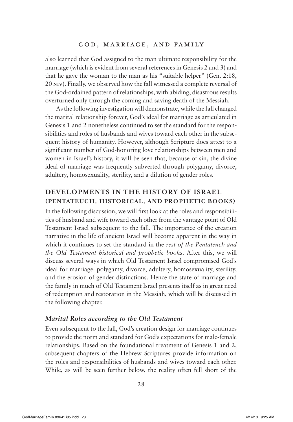also learned that God assigned to the man ultimate responsibility for the marriage (which is evident from several references in Genesis 2 and 3) and that he gave the woman to the man as his "suitable helper" (Gen. 2:18, 20 niv). Finally, we observed how the fall witnessed a complete reversal of the God-ordained pattern of relationships, with abiding, disastrous results overturned only through the coming and saving death of the Messiah.

As the following investigation will demonstrate, while the fall changed the marital relationship forever, God's ideal for marriage as articulated in Genesis 1 and 2 nonetheless continued to set the standard for the responsibilities and roles of husbands and wives toward each other in the subsequent history of humanity. However, although Scripture does attest to a significant number of God-honoring love relationships between men and women in Israel's history, it will be seen that, because of sin, the divine ideal of marriage was frequently subverted through polygamy, divorce, adultery, homosexuality, sterility, and a dilution of gender roles.

#### **DEVELOPMENTS IN THE HISTORY OF ISRAEL (PENTATEUCH, HISTORICAL, AND PROPHETIC BOOKS)**

In the following discussion, we will first look at the roles and responsibilities of husband and wife toward each other from the vantage point of Old Testament Israel subsequent to the fall. The importance of the creation narrative in the life of ancient Israel will become apparent in the way in which it continues to set the standard in the *rest of the Pentateuch and the Old Testament historical and prophetic books*. After this, we will discuss several ways in which Old Testament Israel compromised God's ideal for marriage: polygamy, divorce, adultery, homosexuality, sterility, and the erosion of gender distinctions. Hence the state of marriage and the family in much of Old Testament Israel presents itself as in great need of redemption and restoration in the Messiah, which will be discussed in the following chapter.

#### *Marital Roles according to the Old Testament*

Even subsequent to the fall, God's creation design for marriage continues to provide the norm and standard for God's expectations for male-female relationships. Based on the foundational treatment of Genesis 1 and 2, subsequent chapters of the Hebrew Scriptures provide information on the roles and responsibilities of husbands and wives toward each other. While, as will be seen further below, the reality often fell short of the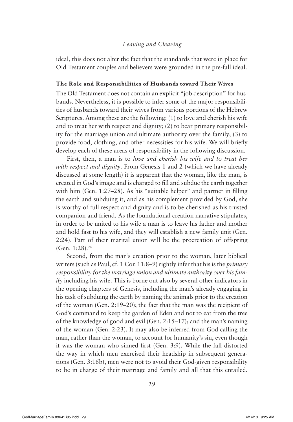ideal, this does not alter the fact that the standards that were in place for Old Testament couples and believers were grounded in the pre-fall ideal.

#### **The Role and Responsibilities of Husbands toward Their Wives**

The Old Testament does not contain an explicit "job description" for husbands. Nevertheless, it is possible to infer some of the major responsibilities of husbands toward their wives from various portions of the Hebrew Scriptures. Among these are the following: (1) to love and cherish his wife and to treat her with respect and dignity; (2) to bear primary responsibility for the marriage union and ultimate authority over the family; (3) to provide food, clothing, and other necessities for his wife. We will briefly develop each of these areas of responsibility in the following discussion.

First, then, a man is to *love and cherish his wife and to treat her with respect and dignity*. From Genesis 1 and 2 (which we have already discussed at some length) it is apparent that the woman, like the man, is created in God's image and is charged to fill and subdue the earth together with him (Gen. 1:27–28). As his "suitable helper" and partner in filling the earth and subduing it, and as his complement provided by God, she is worthy of full respect and dignity and is to be cherished as his trusted companion and friend. As the foundational creation narrative stipulates, in order to be united to his wife a man is to leave his father and mother and hold fast to his wife, and they will establish a new family unit (Gen. 2:24). Part of their marital union will be the procreation of offspring (Gen. 1:28).<sup>24</sup>

Second, from the man's creation prior to the woman, later biblical writers (such as Paul, cf. 1 Cor. 11:8–9) rightly infer that his is the *primary responsibility for the marriage union and ultimate authority over his family* including his wife. This is borne out also by several other indicators in the opening chapters of Genesis, including the man's already engaging in his task of subduing the earth by naming the animals prior to the creation of the woman (Gen. 2:19–20); the fact that the man was the recipient of God's command to keep the garden of Eden and not to eat from the tree of the knowledge of good and evil (Gen. 2:15–17); and the man's naming of the woman (Gen. 2:23). It may also be inferred from God calling the man, rather than the woman, to account for humanity's sin, even though it was the woman who sinned first (Gen. 3:9). While the fall distorted the way in which men exercised their headship in subsequent generations (Gen. 3:16b), men were not to avoid their God-given responsibility to be in charge of their marriage and family and all that this entailed.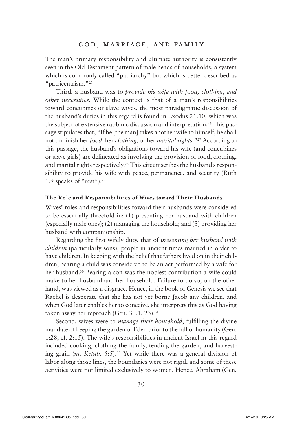The man's primary responsibility and ultimate authority is consistently seen in the Old Testament pattern of male heads of households, a system which is commonly called "patriarchy" but which is better described as "patricentrism."25

Third, a husband was to *provide his wife with food, clothing, and other necessities.* While the context is that of a man's responsibilities toward concubines or slave wives, the most paradigmatic discussion of the husband's duties in this regard is found in Exodus 21:10, which was the subject of extensive rabbinic discussion and interpretation.<sup>26</sup> This passage stipulates that, "If he [the man] takes another wife to himself, he shall not diminish her *food*, her *clothing*, or her *marital rights*."27 According to this passage, the husband's obligations toward his wife (and concubines or slave girls) are delineated as involving the provision of food, clothing, and marital rights respectively.28 This circumscribes the husband's responsibility to provide his wife with peace, permanence, and security (Ruth 1:9 speaks of "rest").29

#### **The Role and Responsibilities of Wives toward Their Husbands**

Wives' roles and responsibilities toward their husbands were considered to be essentially threefold in: (1) presenting her husband with children (especially male ones); (2) managing the household; and (3) providing her husband with companionship.

Regarding the first wifely duty, that of *presenting her husband with children* (particularly sons), people in ancient times married in order to have children. In keeping with the belief that fathers lived on in their children, bearing a child was considered to be an act performed by a wife for her husband.<sup>30</sup> Bearing a son was the noblest contribution a wife could make to her husband and her household. Failure to do so, on the other hand, was viewed as a disgrace. Hence, in the book of Genesis we see that Rachel is desperate that she has not yet borne Jacob any children, and when God later enables her to conceive, she interprets this as God having taken away her reproach (Gen. 30:1, 23).<sup>31</sup>

Second, wives were to *manage their household*, fulfilling the divine mandate of keeping the garden of Eden prior to the fall of humanity (Gen. 1:28; cf. 2:15). The wife's responsibilities in ancient Israel in this regard included cooking, clothing the family, tending the garden, and harvesting grain (*m. Ketub.* 5:5).32 Yet while there was a general division of labor along those lines, the boundaries were not rigid, and some of these activities were not limited exclusively to women. Hence, Abraham (Gen.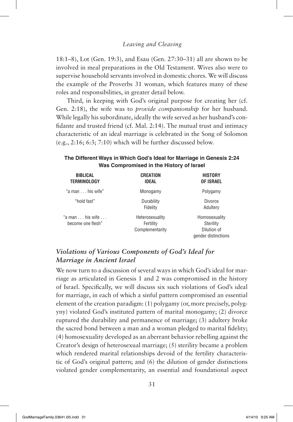18:1–8), Lot (Gen. 19:3), and Esau (Gen. 27:30–31) all are shown to be involved in meal preparations in the Old Testament. Wives also were to supervise household servants involved in domestic chores. We will discuss the example of the Proverbs 31 woman, which features many of these roles and responsibilities, in greater detail below.

Third, in keeping with God's original purpose for creating her (cf. Gen. 2:18), the wife was to *provide companionship* for her husband. While legally his subordinate, ideally the wife served as her husband's confidante and trusted friend (cf. Mal. 2:14). The mutual trust and intimacy characteristic of an ideal marriage is celebrated in the Song of Solomon (e.g., 2:16; 6:3; 7:10) which will be further discussed below.

**The Different Ways in Which God's Ideal for Marriage in Genesis 2:24 Was Compromised in the History of Israel**

| <b>BIBLICAL</b><br><b>TERMINOLOGY</b>                | <b>CREATION</b><br><b>IDEAL</b>                 | <b>HISTORY</b><br><b>OF ISRAEL</b>                               |
|------------------------------------------------------|-------------------------------------------------|------------------------------------------------------------------|
| "a man his wife"                                     | Monogamy                                        | Polygamy                                                         |
| "hold fast"                                          | Durability<br>Fidelity                          | Divorce<br>Adultery                                              |
| "a man $\dots$ his wife $\dots$<br>become one flesh" | Heterosexuality<br>Fertility<br>Complementarity | Homosexuality<br>Sterility<br>Dilution of<br>gender distinctions |

#### *Violations of Various Components of God's Ideal for Marriage in Ancient Israel*

We now turn to a discussion of several ways in which God's ideal for marriage as articulated in Genesis 1 and 2 was compromised in the history of Israel. Specifically, we will discuss six such violations of God's ideal for marriage, in each of which a sinful pattern compromised an essential element of the creation paradigm: (1) polygamy (or, more precisely, polygyny) violated God's instituted pattern of marital monogamy; (2) divorce ruptured the durability and permanence of marriage; (3) adultery broke the sacred bond between a man and a woman pledged to marital fidelity; (4) homosexuality developed as an aberrant behavior rebelling against the Creator's design of heterosexual marriage; (5) sterility became a problem which rendered marital relationships devoid of the fertility characteristic of God's original pattern; and (6) the dilution of gender distinctions violated gender complementarity, an essential and foundational aspect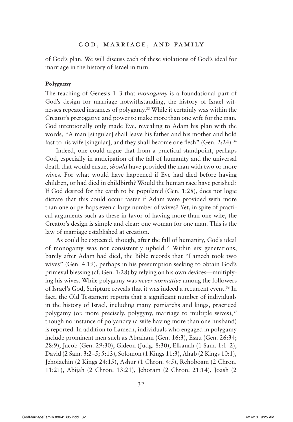of God's plan. We will discuss each of these violations of God's ideal for marriage in the history of Israel in turn.

#### **Polygamy**

The teaching of Genesis 1–3 that *monogamy* is a foundational part of God's design for marriage notwithstanding, the history of Israel witnesses repeated instances of polygamy.33 While it certainly was within the Creator's prerogative and power to make more than one wife for the man, God intentionally only made Eve, revealing to Adam his plan with the words, "A man [singular] shall leave his father and his mother and hold fast to his wife [singular], and they shall become one flesh" (Gen. 2:24).34

Indeed, one could argue that from a practical standpoint, perhaps God, especially in anticipation of the fall of humanity and the universal death that would ensue, *should* have provided the man with two or more wives. For what would have happened if Eve had died before having children, or had died in childbirth? Would the human race have perished? If God desired for the earth to be populated (Gen. 1:28), does not logic dictate that this could occur faster if Adam were provided with more than one or perhaps even a large number of wives? Yet, in spite of practical arguments such as these in favor of having more than one wife, the Creator's design is simple and clear: one woman for one man. This is the law of marriage established at creation.

As could be expected, though, after the fall of humanity, God's ideal of monogamy was not consistently upheld.35 Within six generations, barely after Adam had died, the Bible records that "Lamech took two wives" (Gen. 4:19), perhaps in his presumption seeking to obtain God's primeval blessing (cf. Gen. 1:28) by relying on his own devices—multiplying his wives. While polygamy was *never normative* among the followers of Israel's God, Scripture reveals that it was indeed a recurrent event.36 In fact, the Old Testament reports that a significant number of individuals in the history of Israel, including many patriarchs and kings, practiced polygamy (or, more precisely, polygyny, marriage to multiple wives),<sup>37</sup> though no instance of polyandry (a wife having more than one husband) is reported. In addition to Lamech, individuals who engaged in polygamy include prominent men such as Abraham (Gen. 16:3), Esau (Gen. 26:34; 28:9), Jacob (Gen. 29:30), Gideon (Judg. 8:30), Elkanah (1 Sam. 1:1–2), David (2 Sam. 3:2–5; 5:13), Solomon (1 Kings 11:3), Ahab (2 Kings 10:1), Jehoiachin (2 Kings 24:15), Ashur (1 Chron. 4:5), Rehoboam (2 Chron. 11:21), Abijah (2 Chron. 13:21), Jehoram (2 Chron. 21:14), Joash (2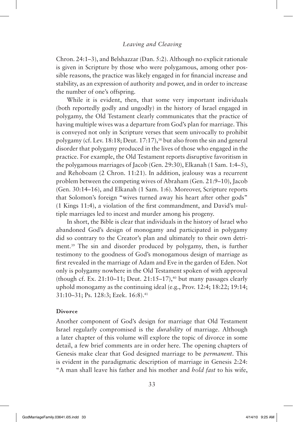Chron. 24:1–3), and Belshazzar (Dan. 5:2). Although no explicit rationale is given in Scripture by those who were polygamous, among other possible reasons, the practice was likely engaged in for financial increase and stability, as an expression of authority and power, and in order to increase the number of one's offspring.

While it is evident, then, that some very important individuals (both reportedly godly and ungodly) in the history of Israel engaged in polygamy, the Old Testament clearly communicates that the practice of having multiple wives was a departure from God's plan for marriage. This is conveyed not only in Scripture verses that seem univocally to prohibit polygamy (cf. Lev. 18:18; Deut. 17:17),<sup>38</sup> but also from the sin and general disorder that polygamy produced in the lives of those who engaged in the practice. For example, the Old Testament reports disruptive favoritism in the polygamous marriages of Jacob (Gen. 29:30), Elkanah (1 Sam. 1:4–5), and Rehoboam (2 Chron. 11:21). In addition, jealousy was a recurrent problem between the competing wives of Abraham (Gen. 21:9–10), Jacob (Gen. 30:14–16), and Elkanah (1 Sam. 1:6). Moreover, Scripture reports that Solomon's foreign "wives turned away his heart after other gods" (1 Kings 11:4), a violation of the first commandment, and David's multiple marriages led to incest and murder among his progeny.

In short, the Bible is clear that individuals in the history of Israel who abandoned God's design of monogamy and participated in polygamy did so contrary to the Creator's plan and ultimately to their own detriment.39 The sin and disorder produced by polygamy, then, is further testimony to the goodness of God's monogamous design of marriage as first revealed in the marriage of Adam and Eve in the garden of Eden. Not only is polygamy nowhere in the Old Testament spoken of with approval (though cf. Ex. 21:10–11; Deut. 21:15–17),<sup>40</sup> but many passages clearly uphold monogamy as the continuing ideal (e.g., Prov. 12:4; 18:22; 19:14; 31:10–31; Ps. 128:3; Ezek. 16:8).41

#### **Divorce**

Another component of God's design for marriage that Old Testament Israel regularly compromised is the *durability* of marriage. Although a later chapter of this volume will explore the topic of divorce in some detail, a few brief comments are in order here. The opening chapters of Genesis make clear that God designed marriage to be *permanent*. This is evident in the paradigmatic description of marriage in Genesis 2:24: "A man shall leave his father and his mother and *hold fast* to his wife,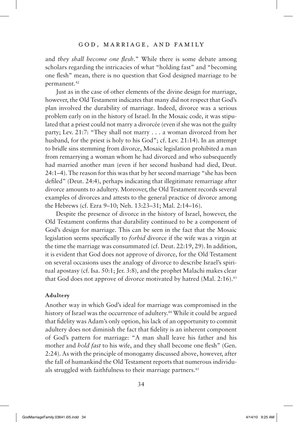and *they shall become one flesh.*" While there is some debate among scholars regarding the intricacies of what "holding fast" and "becoming one flesh" mean, there is no question that God designed marriage to be permanent.42

Just as in the case of other elements of the divine design for marriage, however, the Old Testament indicates that many did not respect that God's plan involved the durability of marriage. Indeed, divorce was a serious problem early on in the history of Israel. In the Mosaic code, it was stipulated that a priest could not marry a divorcée (even if she was not the guilty party; Lev. 21:7: "They shall not marry . . . a woman divorced from her husband, for the priest is holy to his God"; cf. Lev. 21:14). In an attempt to bridle sins stemming from divorce, Mosaic legislation prohibited a man from remarrying a woman whom he had divorced and who subsequently had married another man (even if her second husband had died, Deut. 24:1–4). The reason for this was that by her second marriage "she has been defiled" (Deut. 24:4), perhaps indicating that illegitimate remarriage after divorce amounts to adultery. Moreover, the Old Testament records several examples of divorces and attests to the general practice of divorce among the Hebrews (cf. Ezra 9–10; Neh. 13:23–31; Mal. 2:14–16).

Despite the presence of divorce in the history of Israel, however, the Old Testament confirms that durability continued to be a component of God's design for marriage. This can be seen in the fact that the Mosaic legislation seems specifically to *forbid* divorce if the wife was a virgin at the time the marriage was consummated (cf. Deut. 22:19, 29). In addition, it is evident that God does not approve of divorce, for the Old Testament on several occasions uses the analogy of divorce to describe Israel's spiritual apostasy (cf. Isa. 50:1; Jer. 3:8), and the prophet Malachi makes clear that God does not approve of divorce motivated by hatred (Mal. 2:16).43

#### **Adultery**

Another way in which God's ideal for marriage was compromised in the history of Israel was the occurrence of adultery.<sup>44</sup> While it could be argued that fidelity was Adam's only option, his lack of an opportunity to commit adultery does not diminish the fact that fidelity is an inherent component of God's pattern for marriage: "A man shall leave his father and his mother and *hold fast* to his wife, and they shall become one flesh" (Gen. 2:24). As with the principle of monogamy discussed above, however, after the fall of humankind the Old Testament reports that numerous individuals struggled with faithfulness to their marriage partners.<sup>45</sup>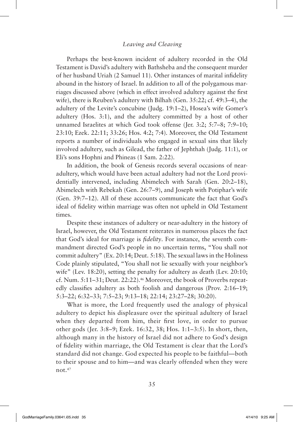Perhaps the best-known incident of adultery recorded in the Old Testament is David's adultery with Bathsheba and the consequent murder of her husband Uriah (2 Samuel 11). Other instances of marital infidelity abound in the history of Israel. In addition to all of the polygamous marriages discussed above (which in effect involved adultery against the first wife), there is Reuben's adultery with Bilhah (Gen. 35:22; cf. 49:3–4), the adultery of the Levite's concubine (Judg. 19:1–2), Hosea's wife Gomer's adultery (Hos. 3:1), and the adultery committed by a host of other unnamed Israelites at which God took offense (Jer. 3:2; 5:7–8; 7:9–10; 23:10; Ezek. 22:11; 33:26; Hos. 4:2; 7:4). Moreover, the Old Testament reports a number of individuals who engaged in sexual sins that likely involved adultery, such as Gilead, the father of Jephthah (Judg. 11:1), or Eli's sons Hophni and Phineas (1 Sam. 2:22).

In addition, the book of Genesis records several occasions of nearadultery, which would have been actual adultery had not the Lord providentially intervened, including Abimelech with Sarah (Gen. 20:2–18), Abimelech with Rebekah (Gen. 26:7–9), and Joseph with Potiphar's wife (Gen. 39:7–12). All of these accounts communicate the fact that God's ideal of fidelity within marriage was often not upheld in Old Testament times.

Despite these instances of adultery or near-adultery in the history of Israel, however, the Old Testament reiterates in numerous places the fact that God's ideal for marriage is *fidelity*. For instance, the seventh commandment directed God's people in no uncertain terms, "You shall not commit adultery" (Ex. 20:14; Deut. 5:18). The sexual laws in the Holiness Code plainly stipulated, "You shall not lie sexually with your neighbor's wife" (Lev. 18:20), setting the penalty for adultery as death (Lev. 20:10; cf. Num. 5:11–31; Deut. 22:22).46 Moreover, the book of Proverbs repeatedly classifies adultery as both foolish and dangerous (Prov. 2:16–19; 5:3–22; 6:32–33; 7:5–23; 9:13–18; 22:14; 23:27–28; 30:20).

What is more, the Lord frequently used the analogy of physical adultery to depict his displeasure over the spiritual adultery of Israel when they departed from him, their first love, in order to pursue other gods (Jer. 3:8–9; Ezek. 16:32, 38; Hos. 1:1–3:5). In short, then, although many in the history of Israel did not adhere to God's design of fidelity within marriage, the Old Testament is clear that the Lord's standard did not change. God expected his people to be faithful—both to their spouse and to him—and was clearly offended when they were not.47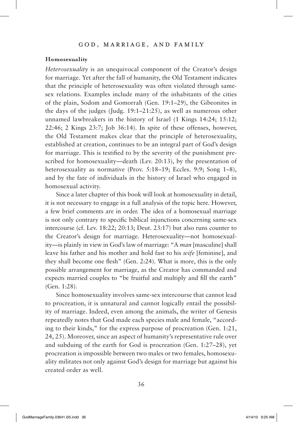#### **Homosexuality**

*Heterosexuality* is an unequivocal component of the Creator's design for marriage. Yet after the fall of humanity, the Old Testament indicates that the principle of heterosexuality was often violated through samesex relations. Examples include many of the inhabitants of the cities of the plain, Sodom and Gomorrah (Gen. 19:1–29), the Gibeonites in the days of the judges (Judg. 19:1–21:25), as well as numerous other unnamed lawbreakers in the history of Israel (1 Kings 14:24; 15:12; 22:46; 2 Kings 23:7; Job 36:14). In spite of these offenses, however, the Old Testament makes clear that the principle of heterosexuality, established at creation, continues to be an integral part of God's design for marriage. This is testified to by the severity of the punishment prescribed for homosexuality—death (Lev. 20:13), by the presentation of heterosexuality as normative (Prov. 5:18–19; Eccles. 9:9; Song 1–8), and by the fate of individuals in the history of Israel who engaged in homosexual activity.

Since a later chapter of this book will look at homosexuality in detail, it is not necessary to engage in a full analysis of the topic here. However, a few brief comments are in order. The idea of a homosexual marriage is not only contrary to specific biblical injunctions concerning same-sex intercourse (cf. Lev. 18:22; 20:13; Deut. 23:17) but also runs counter to the Creator's design for marriage. Heterosexuality—not homosexuality—is plainly in view in God's law of marriage: "A *man* [masculine] shall leave his father and his mother and hold fast to his *wife* [feminine], and they shall become one flesh" (Gen. 2:24). What is more, this is the only possible arrangement for marriage, as the Creator has commanded and expects married couples to "be fruitful and multiply and fill the earth" (Gen. 1:28).

Since homosexuality involves same-sex intercourse that cannot lead to procreation, it is unnatural and cannot logically entail the possibility of marriage. Indeed, even among the animals, the writer of Genesis repeatedly notes that God made each species male and female, "according to their kinds," for the express purpose of procreation (Gen. 1:21, 24, 25). Moreover, since an aspect of humanity's representative rule over and subduing of the earth for God is procreation (Gen. 1:27–28), yet procreation is impossible between two males or two females, homosexuality militates not only against God's design for marriage but against his created order as well.